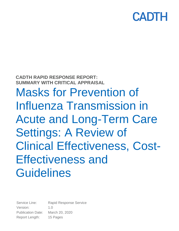# CADT

# **CADTH RAPID RESPONSE REPORT: SUMMARY WITH CRITICAL APPRAISAL** Masks for Prevention of Influenza Transmission in Acute and Long-Term Care Settings: A Review of Clinical Effectiveness, Cost-Effectiveness and **Guidelines**

Service Line: Rapid Response Service Version: 1.0 Publication Date: March 20, 2020 Report Length: 15 Pages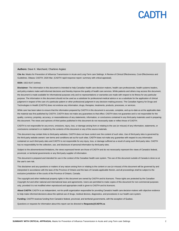#### **Authors:** Dave K. Marchand, Charlene Argáez

**Cite As:** Masks for Prevention of Influenza Transmission in Acute and Long-Term care Settings: A Review of Clinical Effectiveness, Cost-Effectiveness and Guidelines. Ottawa: CADTH; 2020 Mar. (CADTH rapid response report: summary with critical appraisal).

#### **ISSN:** 1922-8147 (online)

Disclaimer: The information in this document is intended to help Canadian health care decision-makers, health care professionals, health systems leaders, and policy-makers make well-informed decisions and thereby improve the quality of health care services. While patients and others may access this document, the document is made available for informational purposes only and no representations or warranties are made with respect to its fitness for any particular purpose. The information in this document should not be used as a substitute for professional medical advice or as a substitute for the application of clinical judgment in respect of the care of a particular patient or other professional judgment in any decision-making process. The Canadian Agency for Drugs and Technologies in Health (CADTH) does not endorse any information, drugs, therapies, treatments, products, processes, or services.

While care has been taken to ensure that the information prepared by CADTH in this document is accurate, complete, and up-to-date as at the applicable date the material was first published by CADTH, CADTH does not make any guarantees to that effect. CADTH does not guarantee and is not responsible for the quality, currency, propriety, accuracy, or reasonableness of any statements, information, or conclusions contained in any third-party materials used in preparing this document. The views and opinions of third parties published in this document do not necessarily state or reflect those of CADTH.

CADTH is not responsible for any errors, omissions, injury, loss, or damage arising from or relating to the use (or misuse) of any information, statements, or conclusions contained in or implied by the contents of this document or any of the source materials.

This document may contain links to third-party websites. CADTH does not have control over the content of such sites. Use of third-party sites is governed by the third-party website owners' own terms and conditions set out for such sites. CADTH does not make any guarantee with respect to any information contained on such third-party sites and CADTH is not responsible for any injury, loss, or damage suffered as a result of using such third-party sites. CADTH has no responsibility for the collection, use, and disclosure of personal information by third-party sites.

Subject to the aforementioned limitations, the views expressed herein are those of CADTH and do not necessarily represent the views of Canada's federal, provincial, or territorial governments or any third party supplier of information.

This document is prepared and intended for use in the context of the Canadian health care system. The use of this document outside of Canada is done so at the user's own risk.

This disclaimer and any questions or matters of any nature arising from or relating to the content or use (or misuse) of this document will be governed by and interpreted in accordance with the laws of the Province of Ontario and the laws of Canada applicable therein, and all proceedings shall be subject to the exclusive jurisdiction of the courts of the Province of Ontario, Canada.

The copyright and other intellectual property rights in this document are owned by CADTH and its licensors. These rights are protected by the Canadian *Copyright Act* and other national and international laws and agreements. Users are permitted to make copies of this document for non-commercial purposes only, provided it is not modified when reproduced and appropriate credit is given to CADTH and its licensors.

**About CADTH:** CADTH is an independent, not-for-profit organization responsible for providing Canada's health care decision-makers with objective evidence to help make informed decisions about the optimal use of drugs, medical devices, diagnostics, and procedures in our health care system.

**Funding:** CADTH receives funding from Canada's federal, provincial, and territorial governments, with the exception of Quebec.

Questions or requests for information about this report can be directed to **Requests@CADTH.ca**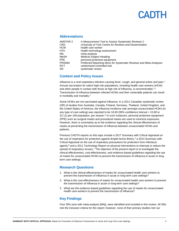## PADTH

#### **Abbreviations**

| AMSTAR 2      | A Measurement Tool to Assess Systematic Reviews 2                  |
|---------------|--------------------------------------------------------------------|
| CRD           | University of York Centre for Reviews and Dissemination            |
| <b>HCW</b>    | health care worker                                                 |
| HTA           | health technology assessment                                       |
| МA            | meta-analysis                                                      |
| <b>MeSH</b>   | <b>Medical Subject Heading</b>                                     |
| <b>PPE</b>    | personal protective equipment                                      |
| <b>PRISMA</b> | Preferred Reporting Items for Systematic Reviews and Meta-Analyses |
| <b>RCT</b>    | randomized controlled trial                                        |
| SR.           | systematic review                                                  |

#### **Context and Policy Issues**

Influenza is a viral respiratory infection causing fever, cough, and general aches and pain.<sup>1</sup> Annual vaccination for select high-risk populations, including health care workers (HCW) and other people in contact with those at high risk of influenza, is recommended.<sup>1-3</sup> Transmission of influenza between infected HCWs and their vulnerable patients can result in morbidity and mortality.<sup>2</sup>

Some HCWs are not vaccinated against influenza. In a 2011 Canadian systematic review (SR) of studies from Australia, Canada, Finland, Germany, Thailand, United Kingdom, and the United States of America, the influenza incidence rate amongst unvaccinated HCWs (in any type of care setting) was reported to be 18.69 (95% confidence interval = 15.80 to 22.11) per 100 population, per season.<sup>4</sup> In such instances, personal protective equipment (PPE) such as surgical masks and procedural masks are used to minimize exposures. However, there is uncertainty as to the evidence regarding the clinical effectiveness of masks at preventing the transmission of influenza between unvaccinated HCWs and patients.

Previous CADTH reports on this topic include a 2017 Summary with Critical Appraisal on the use of respirators for protection against droplet borne illness,<sup>5</sup> a 2014 Summary with Critical Appraisal on the use of respiratory precautions for protection from infectious agents, $6$  and a 2011 Technology Report on physical interventions to interrupt or reduce the spread of respiratory viruses.<sup>7</sup> The objective of the present report is to investigate the clinical effectiveness, cost-effectiveness, and evidence-based guidelines regarding the use of masks for unvaccinated HCWs to prevent the transmission of influenza in acute or longterm care settings.

#### **Research Questions**

- 1. What is the clinical effectiveness of masks for unvaccinated health care workers to prevent the transmission of influenza in acute or long-term care settings?
- 2. What is the cost-effectiveness of masks for unvaccinated health care workers to prevent the transmission of influenza in acute or long-term care settings?
- 3. What are the evidence-based guidelines regarding the use of masks for unvaccinated health care workers to prevent the transmission of influenza?

#### **Key Findings**

Four SRs (one with meta-analysis [MA]), were identified and included in this review. All SRs met the inclusion criteria for this report; however, none of their primary studies met our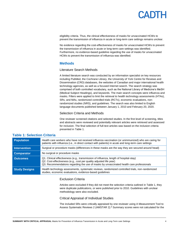eligibility criteria. Thus, the clinical effectiveness of masks for unvaccinated HCWs to prevent the transmission of influenza in acute or long-term care settings remains unclear.

No evidence regarding the cost-effectiveness of masks for unvaccinated HCWs to prevent the transmission of influenza in acute or long-term care settings was identified. Furthermore, no evidence-based guideline regarding the use of masks for unvaccinated HCWs to prevent the transmission of influenza was identified.

#### **Methods**

#### Literature Search Methods

A limited literature search was conducted by an information specialist on key resources including PubMed, the Cochrane Library, the University of York Centre for Reviews and Dissemination (CRD) databases, the websites of Canadian and major international health technology agencies, as well as a focused Internet search. The search strategy was comprised of both controlled vocabulary, such as the National Library of Medicine's MeSH (Medical Subject Headings), and keywords. The main search concepts were influenza and masks. Filters were applied to limit the retrieval to health technology assessments (HTAs), SRs, and MAs, randomized controlled trials (RCTs), economic evaluations, nonrandomized studies (NRS), and guidelines. The search was also limited to English language documents published between January 1, 2010 and February 20, 2020.

#### Selection Criteria and Methods

One reviewer screened citations and selected studies. In the first level of screening, titles and abstracts were reviewed and potentially relevant articles were retrieved and assessed for inclusion. The final selection of full-text articles was based on the inclusion criteria presented in [Table 1.](#page-3-0)

| <b>Population</b>    | Health care workers who have not received influenza vaccination (or unimmunized) who are caring for<br>patients with influenza (i.e., in direct contact with patients) in acute and long-term care settings                                             |
|----------------------|---------------------------------------------------------------------------------------------------------------------------------------------------------------------------------------------------------------------------------------------------------|
| <b>Intervention</b>  | Surgical or procedure masks (differences in these masks are the way they are secured around head)                                                                                                                                                       |
| <b>Comparator</b>    | No surgical or procedure masks                                                                                                                                                                                                                          |
| <b>Outcomes</b>      | Q1. Clinical effectiveness (e.g., transmission of influenza, length of hospital-stay)<br>Q2. Cost-effectiveness (e.g., cost per quality adjusted life year)<br>Q3. Recommendations regarding the use of masks by unvaccinated health care professionals |
| <b>Study Designs</b> | Health technology assessments, systematic reviews, randomized controlled trials, non-randomized<br>studies, economic evaluations, evidence-based guidelines                                                                                             |

#### <span id="page-3-0"></span>**Table 1: Selection Criteria**

#### Exclusion Criteria

Articles were excluded if they did not meet the selection criteria outlined i[n Table 1,](#page-3-0) they were duplicate publications, or were published prior to 2010. Guidelines with unclear methodology were also excluded.

#### Critical Appraisal of Individual Studies

The included SRs were critically appraised by one reviewer using A Measurement Tool to Assess Systematic Reviews 2 (AMSTAR 2).<sup>8</sup> Summary scores were not calculated for the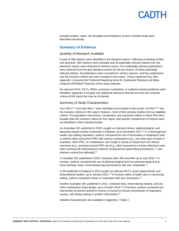### PADTH

included studies; rather, the strengths and limitations of each included study were described narratively.

#### **Summary of Evidence**

#### Quantity of Research Available

A total of 498 citations were identified in the literature search. Following screening of titles and abstracts, 464 citations were excluded and 34 potentially relevant reports from the electronic search were retrieved for full-text review. Four potentially relevant publications were retrieved from the grey literature search for full text review. Of these potentially relevant articles, 34 publications were excluded for various reasons, and four publications met the inclusion criteria and were included in this report. These comprised four SRs. [Appendix 1](#page-8-0) presents the Preferred Reporting Items for Systematic Reviews and Meta-Analyses (PRISMA)<sup>9</sup> flowchart of the study selection.

No relevant HTAs, RCTs, NRSs, economic evaluations, or evidence-based guidelines were identified. [Appendix 4](#page-14-0) includes one additional reference that did not meet the inclusion criteria of this report but may be of interest.

#### Summary of Study Characteristics

Four SRs<sup>10-13</sup> (one with MA),<sup>13</sup> were identified and included in this review. All SRs<sup>10-13</sup> met the inclusion criteria for this report; however, none of their primary studies met our eligibility criteria. The population intervention, comparator, and outcomes criteria in these SRs were broader than the inclusion criteria for this report, and specific comparisons of interest were not identified in their included studies

An Australian SR, published in 2019, sought out relevant clinical, epidemiological, and laboratory-based studies conducted in Pakistan, up to December 2017.<sup>10</sup> In a heterogenous health care setting population, authors compared the use of facemasks or respirators (with or without other concurrent PPE) with various comparators (e.g., any other type of mask or respirator, other PPE, no comparator), and sought a variety of clinical and non-clinical outcomes (e.g., practices around PPE use [e.g., when exposed to a known infectious case, when working with biohazardous material, during aerosol generating procedures],<sup>10</sup> and infection control [not defined]). 10

A Canadian SR, published in 2016, reviewed other SRs and MAs up to July 2016.<sup>11</sup> In humans, authors compared the use of pharmacological and non-pharmacological (e.g., hand washing, mask, social distancing) interventions with any comparator.<sup>11</sup>

A SR published in England in 2012 sought out relevant RCTs, quasi-experimental, and observational studies, up to January 2011.<sup>12</sup> In humans within a health care or community setting, authors compared masks or respirators with any comparator.<sup>12</sup>

Another Australian SR, published in 2011, reviewed trials, observational studies, and any other comparative study design, up to October 2010.<sup>13</sup> In humans, authors compared any intervention to prevent animal-to-human or human-to-human transmission of respiratory viruses, with doing nothing or another intervention.<sup>13</sup>

Detailed characteristics are available i[n Appendix 2](#page-9-0) [Table 2.](#page-9-1)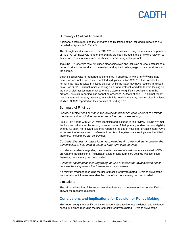## PANTH

#### Summary of Critical Appraisal

Additional details regarding the strengths and limitations of the included publications are provided i[n Appendix 3,](#page-12-0) [Table 3.](#page-12-1)

The strengths and limitations of the  $SRS^{10-13}$  were assessed using the relevant components of AMSTAR 2;<sup>8</sup> however, none of the primary studies included in the SRs were relevant to this report, resulting in a number of checklist items being not applicable.

Two SRs<sup>11,13</sup> (one with MA)<sup>13</sup> included clear objectives and inclusion criteria, established a protocol prior to the conduct of the review, and applied no language or date restrictions to the search.

Study selection was not reported as completed in duplicate in two SRs,<sup>10,13</sup> while data extraction was not reported as completed in duplicate in two SRs.<sup>10,12</sup> It is possible the former may have resulted in missed studies, while the latter may have resulted in missed data. Two SRs10,12 did not indicate having an *a priori* protocol, and details were lacking on the risk of bias assessment or whether there were any significant deviations from the protocol. As such, reporting bias cannot be assessed. Authors of one SR<sup>10</sup> did not report having searched the grey literature; as such, it is possible this may have resulted in missed studies. All SRs reported on their sources of funding.<sup>10-13</sup>

#### Summary of Findings

*Clinical effectiveness of masks for unvaccinated health care workers to prevent the transmission of influenza in acute or long-term care settings* 

Four SRs<sup>10-13</sup> (one with MA),<sup>13</sup> were identified and included in this review. All SRs<sup>10-13</sup> met the inclusion criteria for this report; however, none of their primary studies met our eligibility criteria. As such, no relevant evidence regarding the use of masks for unvaccinated HCWs to prevent the transmission of influenza in acute or long-term care settings was identified; therefore, no summary can be provided.

*Cost-effectiveness of masks for unvaccinated health care workers to prevent the transmission of influenza in acute or long-term care settings*

No relevant evidence regarding the cost-effectiveness of masks for unvaccinated HCWs to prevent the transmission of influenza in acute or long-term care settings was identified; therefore, no summary can be provided.

*Evidence-based guidelines regarding the use of masks for unvaccinated health care workers to prevent the transmission of influenza*

No relevant evidence regarding the use of masks for unvaccinated HCWs to prevent the transmission of influenza was identified; therefore, no summary can be provided.

#### Limitations

The primary limitation of this report was that there was no relevant evidence identified to answer the research questions.

#### **Conclusions and Implications for Decision or Policy Making**

This report sought to identify clinical evidence, cost-effectiveness evidence, and evidencebased guidelines regarding the use of masks for unvaccinated HCWs to prevent the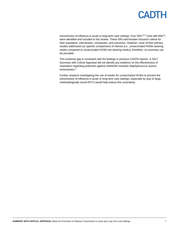

transmission of influenza in acute or long-term care settings. Four SRs<sup>10-13</sup> (one with MA)<sup>13</sup>, were identified and included in this review. These SRs had broader inclusion criteria for their population, intervention, comparator, and outcomes. However, none of their primary studies addressed our specific comparisons of interest (i.e., unvaccinated HCWs wearing masks compared to unvaccinated HCWs not wearing masks); therefore, no summary can be provided.

This evidence gap is consistent with the findings in previous CADTH reports. A 2017 Summary with Critical Appraisal did not identify any evidence on the effectiveness of respirators regarding protection against methicillin-resistant *Staphylococcus aureus* transmission.<sup>5</sup>

Further research investigating the use of masks for unvaccinated HCWs to prevent the transmission of influenza in acute or long-term care settings, especially by way of large, methodologically sound RCTs would help reduce this uncertainty.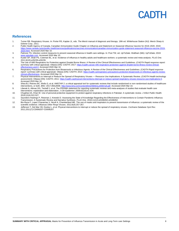### PADIE

#### **References**

- 1. Turner RB. Respiratory Viruses. In: Porter RS, Kaplan JL, eds. *The Merck manual of diagnosis and therapy*. 19th ed. Whitehouse Station (NJ): Merck Sharp & Dohme Corp.; 2011.
- 2. Public Health Agency of Canada. Canadian Immunization Guide Chapter on Influenza and Statement on Seasonal Influenza Vaccine for 2019–2020. 2019: [https://www.canada.ca/en/public-health/services/publications/vaccines-immunization/canadian-immunization-guide-statement-seasonal-influenza-vaccine-2019-](https://www.canada.ca/en/public-health/services/publications/vaccines-immunization/canadian-immunization-guide-statement-seasonal-influenza-vaccine-2019-2020.html) [2020.html.](https://www.canada.ca/en/public-health/services/publications/vaccines-immunization/canadian-immunization-guide-statement-seasonal-influenza-vaccine-2019-2020.html) Accessed 2020 Mar 10.
- 3. Palmore TN. Infection control measures to prevent seasonal influenza in health care settings. In: Post TW, ed. *UpToDate*. Waltham (MA): UpToDate; 2019: [www.uptodate.com.](file://///cadth-shares/Proj-Ctrl_Intake/Active/RC1255%20Influenza%20Masks/Drafts/www.uptodate.com) Accessed 2020 Mar 10.
- 4. Kuster SP, Shah PS, Coleman BL, et al. Incidence of influenza in healthy adults and healthcare workers: a systematic review and meta-analysis. *PLoS One.*  2011;6(10):e26239-e26239.
- 5. The Use of N95 Respirators for Protection against Droplet Borne Illness: A Review of the Clinical Effectiveness and Guidelines. *(CADTH Rapid response report: summary with critical appraisal)*. Ottawa (ON): CADTH; 2017: [https://cadth.ca/use-n95-respirators-protection-against-droplet-borne-illness-review-clinical](https://cadth.ca/use-n95-respirators-protection-against-droplet-borne-illness-review-clinical-effectiveness-and-0)[effectiveness-and-0.](https://cadth.ca/use-n95-respirators-protection-against-droplet-borne-illness-review-clinical-effectiveness-and-0) Accessed 2020 Mar 10.
- 6. Respiratory Precautions for Protection from Bioaerosols or Infectious Agents: A Review of the Clinical Effectiveness and Guidelines. *(CADTH Rapid response report: summary with critical appraisal)*. Ottawa (ON): CADTH; 2014[: https://cadth.ca/respiratory-precautions-protection-bioaerosols-or-infectious-agents-review](https://cadth.ca/respiratory-precautions-protection-bioaerosols-or-infectious-agents-review-clinical-effectiveness)[clinical-effectiveness.](https://cadth.ca/respiratory-precautions-protection-bioaerosols-or-infectious-agents-review-clinical-effectiveness) Accessed 2020 Mar 10.
- 7. Physical Interventions to Interrupt or Reduce the Spread of Respiratory Viruses Resource Use Implications: A Systematic Review. *(CADTH Health technology assessment)*. Ottawa (ON): CADTH; 2011[: https://cadth.ca/physical-interventions-interrupt-or-reduce-spread-respiratory-viruses-resource-use-implications-0.](https://cadth.ca/physical-interventions-interrupt-or-reduce-spread-respiratory-viruses-resource-use-implications-0)  Accessed 2020 Mar 10.
- 8. Shea BJ, Reeves BC, Wells G, et al. AMSTAR 2: a critical appraisal tool for systematic reviews that include randomised or non-randomised studies of healthcare<br>interventions, or both. BMJ. 2017;358:j4008. http://www.bmj. im/content/bmj/358/bmj.j4008.full.pdf. Accessed 2020 Mar 10.
- 9. Liberati A, Altman DG, Tetzlaff J, et al. The PRISMA statement for reporting systematic reviews and meta-analyses of studies that evaluate health care interventions: explanation and elaboration. *J Clin Epidemiol.* 2009;62(10):e1-e34.
- 10. Chughtai AA, Khan W. Use of personal protective equipment to protect against respiratory infections in Pakistan: A systematic review. *J Infect Public Health.*  2019;12(4):522-527.
- 11. Saunders-Hastings P, Reisman J, Krewski D. Assessing the State of Knowledge Regarding the Effectiveness of Interventions to Contain Pandemic Influenza Transmission: A Systematic Review and Narrative Synthesis. *PLoS One.* 2016;11(12):e0168262-e0168262.
- 12. Bin-Reza F, Lopez Chavarrias V, Nicoll A, Chamberland ME. The use of masks and respirators to prevent transmission of influenza: a systematic review of the scientific evidence. *Influenza Other Respi Viruses.* 2012;6(4):257-267.
- 13. Jefferson T, Del Mar CB, Dooley L, et al. Physical interventions to interrupt or reduce the spread of respiratory viruses. *Cochrane Database Syst Rev.*  2011;2011(7):CD006207-CD006207.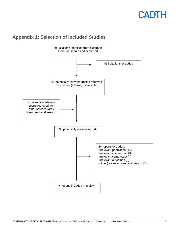### <span id="page-8-0"></span>**Appendix 1: Selection of Included Studies**

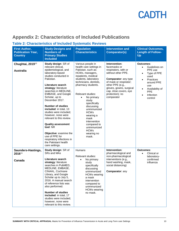### <span id="page-9-0"></span>**Appendix 2: Characteristics of Included Publications**

#### <span id="page-9-1"></span>**Table 2: Characteristics of Included Systematic Reviews**

| <b>First Author,</b><br><b>Publication Year,</b><br><b>Country</b> | <b>Study Designs and</b><br><b>Numbers of</b><br><b>Primary Studies</b><br><b>Included</b>                                                                                                                                                                                                                                                                                                                                                                                                                                                              | <b>Population</b><br><b>Characteristics</b>                                                                                                                                                                                                                                                                                                                                                                               | <b>Intervention and</b><br><b>Comparator(s)</b>                                                                                                                                                                                        | <b>Clinical Outcomes,</b><br><b>Length of Follow-</b><br>Up                                                                                                                                                                     |
|--------------------------------------------------------------------|---------------------------------------------------------------------------------------------------------------------------------------------------------------------------------------------------------------------------------------------------------------------------------------------------------------------------------------------------------------------------------------------------------------------------------------------------------------------------------------------------------------------------------------------------------|---------------------------------------------------------------------------------------------------------------------------------------------------------------------------------------------------------------------------------------------------------------------------------------------------------------------------------------------------------------------------------------------------------------------------|----------------------------------------------------------------------------------------------------------------------------------------------------------------------------------------------------------------------------------------|---------------------------------------------------------------------------------------------------------------------------------------------------------------------------------------------------------------------------------|
| Chughtai, 2019 <sup>10</sup><br><b>Australia</b>                   | Study design: SR of<br>relevant clinical,<br>epidemiological, and<br>laboratory-based<br>studies conducted in<br>Pakistan.<br>Literature search<br>strategy: literature<br>searches in MEDLINE,<br>EMBASE, and Google<br>Scholar, up to<br>December 2017.<br><b>Number of studies</b><br>included: in total, 13<br>studies were included;<br>however, none were<br>relevant to this review.<br><b>Quality assessment</b><br>tool: NR<br>Objective: examine the<br>use of PPE for<br>respiratory infections in<br>the Pakistani health<br>care settings. | Various people in<br>health care settings in<br>Pakistan, such as:<br>HCWs, managers,<br>inpatients, medical<br>students, laboratory<br>technicians, dentists,<br>pharmacy students.<br><b>Relevant studies:</b><br>No primary<br>$\bullet$<br>study<br>specifically<br>discussing<br>unimmunized<br><b>HCWs</b><br>wearing a<br>mask<br>intervention<br>compared to<br>unimmunized<br><b>HCWs</b><br>wearing no<br>mask. | Intervention:<br>facemasks or<br>respirators, with or<br>without other PPE.<br>Comparator: any type<br>of mask or respirator;<br>other PPE (e.g.,<br>gloves, gowns, surgical<br>cap, shoe covers, eye<br>protection); no<br>comparator | <b>Outcomes:</b><br>Guidelines on<br>$\bullet$<br>PPE use<br>Type of PPE<br>$\bullet$<br>used<br>Practices<br>$\bullet$<br>around PPE<br>use<br>Availability of<br>$\bullet$<br><b>PPE</b><br>Infection<br>$\bullet$<br>control |
| Saunders-Hastings,<br>201611<br>Canada                             | Study design: SR of<br>SRs and MAs<br>Literature search<br>strategy: literature<br>searches in PubMED,<br>MEDLINE, EMBASE,<br>CINAHL, Cochrane<br>Library, and Google<br>Scholar up to July 5,<br>2016. A manual search<br>of reference lists was<br>also performed.<br><b>Number of studies</b><br>included: in total, 17<br>studies were included;<br>however, none were<br>relevant to this review.                                                                                                                                                  | Humans<br>Relevant studies:<br>No primary<br>$\bullet$<br>study<br>specifically<br>discussing<br>unimmunized<br><b>HCWs wearing</b><br>a mask<br>intervention<br>compared to<br>unimmunized<br><b>HCWs wearing</b><br>no mask.                                                                                                                                                                                            | Intervention:<br>pharmacological and<br>non-pharmacological<br>interventions (e.g.,<br>hand washing, mask,<br>social distancing)<br>Comparator: any                                                                                    | Outcomes:<br>Clinical or<br>$\bullet$<br>laboratory-<br>confirmed<br>influenza                                                                                                                                                  |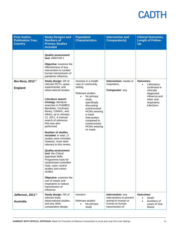| <b>First Author,</b><br><b>Publication Year,</b><br><b>Country</b> | <b>Study Designs and</b><br><b>Numbers of</b><br><b>Primary Studies</b><br><b>Included</b>                                                                                                                                                                                                                                                                                                                                                                                                                                                                                                                                                                                                                                                                      | <b>Population</b><br><b>Characteristics</b>                                                                                                                                                                                                                   | <b>Intervention and</b><br><b>Comparator(s)</b>                                                          | <b>Clinical Outcomes,</b><br><b>Length of Follow-</b><br>Up                                                                                   |
|--------------------------------------------------------------------|-----------------------------------------------------------------------------------------------------------------------------------------------------------------------------------------------------------------------------------------------------------------------------------------------------------------------------------------------------------------------------------------------------------------------------------------------------------------------------------------------------------------------------------------------------------------------------------------------------------------------------------------------------------------------------------------------------------------------------------------------------------------|---------------------------------------------------------------------------------------------------------------------------------------------------------------------------------------------------------------------------------------------------------------|----------------------------------------------------------------------------------------------------------|-----------------------------------------------------------------------------------------------------------------------------------------------|
| <b>Bin-Reza, 2012</b> 12<br><b>England</b>                         | <b>Quality assessment</b><br>tool: AMSTAR 2<br>Objective: examine the<br>effectiveness of any<br>intervention to contain<br>human transmission of<br>pandemic influenza.<br>Study design: SR of<br>relevant RCTs, quasi-<br>experimental, and<br>observational studies<br>Literature search<br>strategy: literature<br>searches in PubMED,<br>Bandolier, Cochrane<br>library, CINAHL, and<br>others, up to January<br>12, 2011. A manual<br>search of reference<br>lists was also<br>performed.<br><b>Number of studies</b><br>included: in total, 17<br>studies were included;<br>however, none were<br>relevant to this review.<br><b>Quality assessment</b><br>tool: the Critical<br><b>Appraisal Skills</b><br>Programme tools for<br>randomised controlled | Humans in a health<br>care or community<br>setting<br>Relevant studies:<br>No primary<br>study<br>specifically<br>discussing<br>unimmunized<br><b>HCWs wearing</b><br>a mask<br>intervention<br>compared to<br>unimmunized<br><b>HCWs wearing</b><br>no mask. | Intervention: masks or<br>respirators,<br>Comparator: any                                                | Outcomes:<br>Laboratory-<br>$\bullet$<br>confirmed or<br>clinically<br>diagnosed<br>influenza and<br>other viral<br>respiratory<br>infections |
|                                                                    | trials, case-control<br>studies and cohort<br>studies                                                                                                                                                                                                                                                                                                                                                                                                                                                                                                                                                                                                                                                                                                           |                                                                                                                                                                                                                                                               |                                                                                                          |                                                                                                                                               |
|                                                                    | Objective: examine the<br>use of masks and<br>respirators to reduce<br>transmission of<br>influenza                                                                                                                                                                                                                                                                                                                                                                                                                                                                                                                                                                                                                                                             |                                                                                                                                                                                                                                                               |                                                                                                          |                                                                                                                                               |
| Jefferson, 2011 <sup>13</sup><br><b>Australia</b>                  | Study design: SR of<br>relevant trials,<br>observational studies,<br>and any other<br>comparative design.                                                                                                                                                                                                                                                                                                                                                                                                                                                                                                                                                                                                                                                       | <b>Humans</b><br><b>Relevant studies:</b><br>No primary<br>study                                                                                                                                                                                              | Intervention: any<br>interventions to prevent<br>animal-to-human or<br>human-to-human<br>transmission of | Outcomes:<br>Death<br>Numbers of<br>cases of viral<br>illness                                                                                 |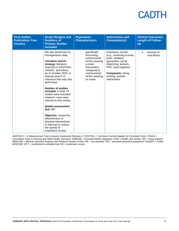| <b>First Author,</b><br><b>Publication Year,</b><br><b>Country</b> | <b>Study Designs and</b><br><b>Numbers of</b><br><b>Primary Studies</b><br><b>Included</b>                                                                                                                                                                                                                                                                                                                                                                                                                                                      | <b>Population</b><br><b>Characteristics</b>                                                                                                                 | <b>Intervention and</b><br><b>Comparator(s)</b>                                                                                                                                                            | <b>Clinical Outcomes,</b><br><b>Length of Follow-</b><br>Up |
|--------------------------------------------------------------------|-------------------------------------------------------------------------------------------------------------------------------------------------------------------------------------------------------------------------------------------------------------------------------------------------------------------------------------------------------------------------------------------------------------------------------------------------------------------------------------------------------------------------------------------------|-------------------------------------------------------------------------------------------------------------------------------------------------------------|------------------------------------------------------------------------------------------------------------------------------------------------------------------------------------------------------------|-------------------------------------------------------------|
|                                                                    | MA was performed on<br>homogeneous data.<br>Literature search<br>strategy: literature<br>searches in CENTRAL.<br>CINAHL, and others,<br>up to October 2010. A<br>manual search of<br>reference lists was also<br>performed.<br><b>Number of studies</b><br>included: in total, 67<br>studies were included:<br>however, none were<br>relevant to this review.<br><b>Quality assessment</b><br>tool: NR<br>Objective: review the<br>effectiveness of<br>physical interventions<br>to interrupt or reduce<br>the spread of<br>respiratory viruses | specifically<br>discussing<br>unimmunized<br><b>HCWs wearing</b><br>a mask<br>intervention<br>compared to<br>unimmunized<br><b>HCWs wearing</b><br>no mask. | respiratory viruses<br>(e.g., screening at entry<br>ports, isolation,<br>quarantine, social<br>distancing, barriers,<br>PPE, hand hygiene)<br><b>Comparator: doing</b><br>nothing; another<br>intervention | Severity of<br>viral illness                                |

AMSTAR 2 = A Measurement Tool to Assess Systematic Reviews 2; CENTRAL = Cochrane Central Register of Controlled Trials; CINAHL = Cumulative Index to Nursing and Allied Health Literature; EMBASE = Excerpta Medica database; HCW = health care worker; MA = meta-analysis; MEDLINE = Medical Literature Analysis and Retrieval System Online; NR = not reported; PPE = personal protective equipment; PubMED = Public MEDLINE; RCT = randomized controlled trial; SR = systematic review.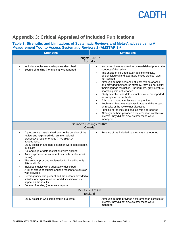

### <span id="page-12-0"></span>**Appendix 3: Critical Appraisal of Included Publications**

#### <span id="page-12-1"></span>**Table 3: Strengths and Limitations of Systematic Reviews and Meta-Analyses using A Measurement Tool to Assess Systematic Reviews 2 (AMSTAR 2)<sup>8</sup>**

| <b>Strengths</b>                                                                                                                                                                                                                                                                                                                                                                                                                                                                                                                                                                                                                                                                                                                          | $\bullet$ , stollars the library $\bullet$ ( <i>l</i> and if an $\bullet$ )<br><b>Limitations</b>                                                                                                                                                                                                                                                                                                                                                                                                                                                                                                                                                                                                                                                                                                                                                                          |  |  |
|-------------------------------------------------------------------------------------------------------------------------------------------------------------------------------------------------------------------------------------------------------------------------------------------------------------------------------------------------------------------------------------------------------------------------------------------------------------------------------------------------------------------------------------------------------------------------------------------------------------------------------------------------------------------------------------------------------------------------------------------|----------------------------------------------------------------------------------------------------------------------------------------------------------------------------------------------------------------------------------------------------------------------------------------------------------------------------------------------------------------------------------------------------------------------------------------------------------------------------------------------------------------------------------------------------------------------------------------------------------------------------------------------------------------------------------------------------------------------------------------------------------------------------------------------------------------------------------------------------------------------------|--|--|
| Chughtai, 2019 <sup>10</sup><br>Australia                                                                                                                                                                                                                                                                                                                                                                                                                                                                                                                                                                                                                                                                                                 |                                                                                                                                                                                                                                                                                                                                                                                                                                                                                                                                                                                                                                                                                                                                                                                                                                                                            |  |  |
| Included studies were adequately described<br>Source of funding (no funding) was reported                                                                                                                                                                                                                                                                                                                                                                                                                                                                                                                                                                                                                                                 | No protocol was reported to be established prior to the<br>$\bullet$<br>conduct of the review<br>The choice of included study designs (clinical,<br>epidemiological and laboratory-based studies) was<br>not justified<br>Although authors searched at least two databases<br>and provided their search strategy, they did not justify<br>their language restriction. Furthermore, grey literature<br>searching was not reported<br>Study selection and data extraction were not reported<br>as completed in duplicate<br>A list of excluded studies was not provided<br>$\bullet$<br>Publication bias was not investigated and the impact<br>$\bullet$<br>on results of the review not discussed<br>Funding of the included studies was not reported<br>Although authors provided a statement on conflicts of<br>interest, they did not discuss how these were<br>managed |  |  |
| Saunders-Hastings, 2016 <sup>11</sup><br>Canada                                                                                                                                                                                                                                                                                                                                                                                                                                                                                                                                                                                                                                                                                           |                                                                                                                                                                                                                                                                                                                                                                                                                                                                                                                                                                                                                                                                                                                                                                                                                                                                            |  |  |
| A protocol was established prior to the conduct of the<br>review and registered with an International<br>prospective register of SRs (PROSPERO<br>42016039803)<br>Study selection and data extraction were completed in<br>duplicate<br>No language or date restrictions were applied<br>Authors provided a statement on conflicts of interest<br>(none)<br>The authors provided explanation for including only<br>SRs and MAs<br>Included studies were adequately described<br>A list of excluded studies and the reason for exclusion<br>was provided<br>Heterogeneity was present and the authors provided a<br>satisfactory explanation for, and discussion of, its<br>impact on the results<br>Source of funding (none) was reported | Funding of the included studies was not reported<br>$\bullet$                                                                                                                                                                                                                                                                                                                                                                                                                                                                                                                                                                                                                                                                                                                                                                                                              |  |  |
|                                                                                                                                                                                                                                                                                                                                                                                                                                                                                                                                                                                                                                                                                                                                           | Bin-Reza, 2012 <sup>12</sup><br>England                                                                                                                                                                                                                                                                                                                                                                                                                                                                                                                                                                                                                                                                                                                                                                                                                                    |  |  |
| Study selection was completed in duplicate                                                                                                                                                                                                                                                                                                                                                                                                                                                                                                                                                                                                                                                                                                | Although authors provided a statement on conflicts of<br>$\bullet$<br>interest, they did not discuss how these were<br>managed                                                                                                                                                                                                                                                                                                                                                                                                                                                                                                                                                                                                                                                                                                                                             |  |  |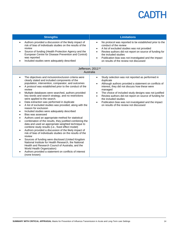| <b>Strengths</b>                                                                                                                                                                                                                                                                                                                                                                                                                                                                                                                                                                                                                                                                                                                                                                                                                                                                                                                                                                                                                                                                                                                                                                                                                                                                                                                                      | <b>Limitations</b>                                                                                                                                                                                                                                                                                                                                                                                                                                                                   |  |  |  |
|-------------------------------------------------------------------------------------------------------------------------------------------------------------------------------------------------------------------------------------------------------------------------------------------------------------------------------------------------------------------------------------------------------------------------------------------------------------------------------------------------------------------------------------------------------------------------------------------------------------------------------------------------------------------------------------------------------------------------------------------------------------------------------------------------------------------------------------------------------------------------------------------------------------------------------------------------------------------------------------------------------------------------------------------------------------------------------------------------------------------------------------------------------------------------------------------------------------------------------------------------------------------------------------------------------------------------------------------------------|--------------------------------------------------------------------------------------------------------------------------------------------------------------------------------------------------------------------------------------------------------------------------------------------------------------------------------------------------------------------------------------------------------------------------------------------------------------------------------------|--|--|--|
| Authors provided a discussion of the likely impact of<br>$\bullet$<br>risk of bias of individuals studies on the results of the<br>review<br>Source of funding (Health Protection Agency and the<br>$\bullet$<br>European Centre for Disease Prevention and Control)<br>was reported<br>Included studies were adequately described<br>$\bullet$                                                                                                                                                                                                                                                                                                                                                                                                                                                                                                                                                                                                                                                                                                                                                                                                                                                                                                                                                                                                       | No protocol was reported to be established prior to the<br>$\bullet$<br>conduct of the review<br>A list of excluded studies was not provided<br>$\bullet$<br>Review authors did not report on source of funding for<br>the included studies<br>Publication bias was not investigated and the impact<br>$\bullet$<br>on results of the review not discussed                                                                                                                           |  |  |  |
| Jefferson, 2011 <sup>13</sup><br>Australia                                                                                                                                                                                                                                                                                                                                                                                                                                                                                                                                                                                                                                                                                                                                                                                                                                                                                                                                                                                                                                                                                                                                                                                                                                                                                                            |                                                                                                                                                                                                                                                                                                                                                                                                                                                                                      |  |  |  |
| The objectives and inclusion/exclusion criteria were<br>$\bullet$<br>clearly stated and included components of the<br>population, intervention, comparator, and outcomes<br>A protocol was established prior to the conduct of the<br>$\bullet$<br>review<br>Multiple databases were searched, authors provided<br>$\bullet$<br>key words and search strategy, and no restrictions<br>were applied to the search.<br>Data extraction was performed in duplicate<br>$\bullet$<br>A list of excluded studies was provided, along with the<br>$\bullet$<br>reason for exclusion<br>Included studies were adequately described<br>$\bullet$<br>Bias was assessed<br>Authors used an appropriate method for statistical<br>$\bullet$<br>combination of the results, they justified combining the<br>$\bullet$<br>data and used an appropriate weighted technique to<br>combine study results (i.e., fixed effect model)<br>Authors provided a discussion of the likely impact of<br>$\bullet$<br>risk of bias of individuals studies on the results of the<br>review<br>Sources of funding were disclosed (United Kingdom<br>$\bullet$<br>National Institute for Health Research, the National<br>Health and Research Council of Australia, and the<br>World Health Organization)<br>Authors provided a statement on conflicts of interest<br>(none known) | Study selection was not reported as performed in<br>$\bullet$<br>duplicate<br>Although authors provided a statement on conflicts of<br>interest, they did not discuss how these were<br>managed<br>The choice of included study designs was not justified<br>$\bullet$<br>Review authors did not report on source of funding for<br>$\bullet$<br>the included studies<br>Publication bias was not investigated and the impact<br>$\bullet$<br>on results of the review not discussed |  |  |  |